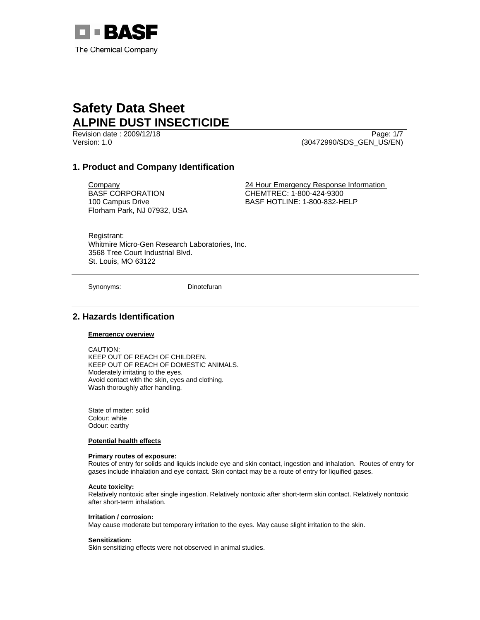

Revision date : 2009/12/18 Page: 1/7 Version: 1.0 (30472990/SDS\_GEN\_US/EN)

# **1. Product and Company Identification**

BASF CORPORATION 100 Campus Drive Florham Park, NJ 07932, USA

Company 24 Hour Emergency Response Information CHEMTREC: 1-800-424-9300 BASF HOTLINE: 1-800-832-HELP

Registrant: Whitmire Micro-Gen Research Laboratories, Inc. 3568 Tree Court Industrial Blvd. St. Louis, MO 63122

Synonyms: Dinotefuran

# **2. Hazards Identification**

## **Emergency overview**

CAUTION: KEEP OUT OF REACH OF CHILDREN. KEEP OUT OF REACH OF DOMESTIC ANIMALS. Moderately irritating to the eyes. Avoid contact with the skin, eyes and clothing. Wash thoroughly after handling.

State of matter: solid Colour: white Odour: earthy

#### **Potential health effects**

#### **Primary routes of exposure:**

Routes of entry for solids and liquids include eye and skin contact, ingestion and inhalation. Routes of entry for gases include inhalation and eye contact. Skin contact may be a route of entry for liquified gases.

#### **Acute toxicity:**

Relatively nontoxic after single ingestion. Relatively nontoxic after short-term skin contact. Relatively nontoxic after short-term inhalation.

#### **Irritation / corrosion:** May cause moderate but temporary irritation to the eyes. May cause slight irritation to the skin.

#### **Sensitization:**

Skin sensitizing effects were not observed in animal studies.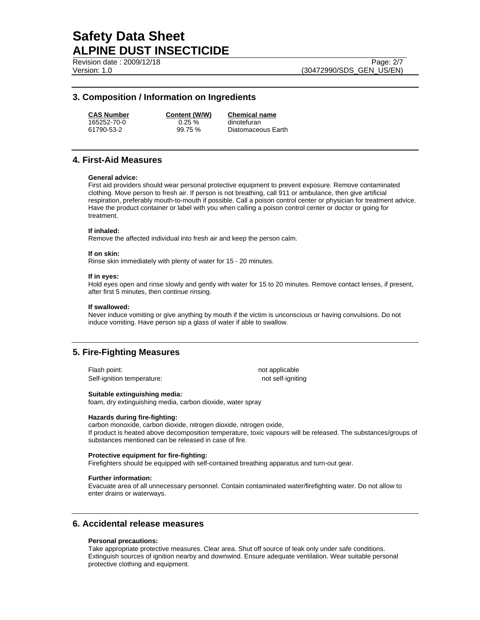Revision date : 2009/12/18 Page: 2/7

Version: 1.0 (30472990/SDS\_GEN\_US/EN)

## **3. Composition / Information on Ingredients**

**CAS Number Content (W/W) Chemical name**

165252-70-0 0.25 % dinotefuran

61790-53-2 99.75 % Diatomaceous Earth

## **4. First-Aid Measures**

#### **General advice:**

First aid providers should wear personal protective equipment to prevent exposure. Remove contaminated clothing. Move person to fresh air. If person is not breathing, call 911 or ambulance, then give artificial respiration, preferably mouth-to-mouth if possible. Call a poison control center or physician for treatment advice. Have the product container or label with you when calling a poison control center or doctor or going for treatment.

#### **If inhaled:**

Remove the affected individual into fresh air and keep the person calm.

#### **If on skin:**

Rinse skin immediately with plenty of water for 15 - 20 minutes.

#### **If in eyes:**

Hold eyes open and rinse slowly and gently with water for 15 to 20 minutes. Remove contact lenses, if present, after first 5 minutes, then continue rinsing.

#### **If swallowed:**

Never induce vomiting or give anything by mouth if the victim is unconscious or having convulsions. Do not induce vomiting. Have person sip a glass of water if able to swallow.

# **5. Fire-Fighting Measures**

Flash point: not applicable not applicable Self-ignition temperature: not self-igniting

#### **Suitable extinguishing media:**

foam, dry extinguishing media, carbon dioxide, water spray

### **Hazards during fire-fighting:**

carbon monoxide, carbon dioxide, nitrogen dioxide, nitrogen oxide, If product is heated above decomposition temperature, toxic vapours will be released. The substances/groups of substances mentioned can be released in case of fire.

## **Protective equipment for fire-fighting:**

Firefighters should be equipped with self-contained breathing apparatus and turn-out gear.

#### **Further information:**

Evacuate area of all unnecessary personnel. Contain contaminated water/firefighting water. Do not allow to enter drains or waterways.

## **6. Accidental release measures**

## **Personal precautions:**

Take appropriate protective measures. Clear area. Shut off source of leak only under safe conditions. Extinguish sources of ignition nearby and downwind. Ensure adequate ventilation. Wear suitable personal protective clothing and equipment.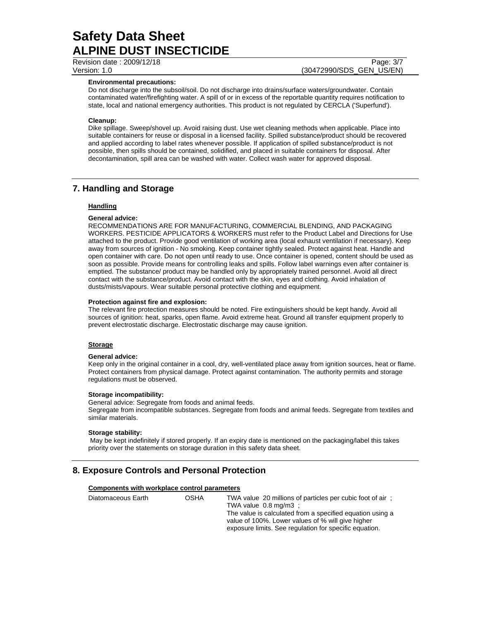Revision date : 2009/12/18 Page: 3/7

Version: 1.0 (30472990/SDS\_GEN\_US/EN)

## **Environmental precautions:**

Do not discharge into the subsoil/soil. Do not discharge into drains/surface waters/groundwater. Contain contaminated water/firefighting water. A spill of or in excess of the reportable quantity requires notification to state, local and national emergency authorities. This product is not regulated by CERCLA ('Superfund').

## **Cleanup:**

Dike spillage. Sweep/shovel up. Avoid raising dust. Use wet cleaning methods when applicable. Place into suitable containers for reuse or disposal in a licensed facility. Spilled substance/product should be recovered and applied according to label rates whenever possible. If application of spilled substance/product is not possible, then spills should be contained, solidified, and placed in suitable containers for disposal. After decontamination, spill area can be washed with water. Collect wash water for approved disposal.

## **7. Handling and Storage**

## **Handling**

### **General advice:**

RECOMMENDATIONS ARE FOR MANUFACTURING, COMMERCIAL BLENDING, AND PACKAGING WORKERS. PESTICIDE APPLICATORS & WORKERS must refer to the Product Label and Directions for Use attached to the product. Provide good ventilation of working area (local exhaust ventilation if necessary). Keep away from sources of ignition - No smoking. Keep container tightly sealed. Protect against heat. Handle and open container with care. Do not open until ready to use. Once container is opened, content should be used as soon as possible. Provide means for controlling leaks and spills. Follow label warnings even after container is emptied. The substance/ product may be handled only by appropriately trained personnel. Avoid all direct contact with the substance/product. Avoid contact with the skin, eyes and clothing. Avoid inhalation of dusts/mists/vapours. Wear suitable personal protective clothing and equipment.

#### **Protection against fire and explosion:**

The relevant fire protection measures should be noted. Fire extinguishers should be kept handy. Avoid all sources of ignition: heat, sparks, open flame. Avoid extreme heat. Ground all transfer equipment properly to prevent electrostatic discharge. Electrostatic discharge may cause ignition.

## **Storage**

#### **General advice:**

Keep only in the original container in a cool, dry, well-ventilated place away from ignition sources, heat or flame. Protect containers from physical damage. Protect against contamination. The authority permits and storage regulations must be observed.

#### **Storage incompatibility:**

General advice: Segregate from foods and animal feeds. Segregate from incompatible substances. Segregate from foods and animal feeds. Segregate from textiles and similar materials.

#### **Storage stability:**

 May be kept indefinitely if stored properly. If an expiry date is mentioned on the packaging/label this takes priority over the statements on storage duration in this safety data sheet.

# **8. Exposure Controls and Personal Protection**

#### **Components with workplace control parameters**

| Diatomaceous Earth | OSHA | TWA value 20 millions of particles per cubic foot of air:<br>TWA value $0.8 \text{ mg/m3}$ :<br>The value is calculated from a specified equation using a<br>value of 100%. Lower values of % will give higher |
|--------------------|------|----------------------------------------------------------------------------------------------------------------------------------------------------------------------------------------------------------------|
|                    |      | exposure limits. See regulation for specific equation.                                                                                                                                                         |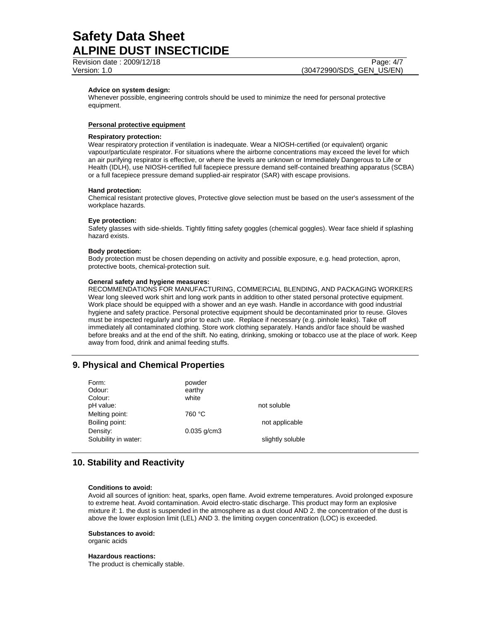Revision date : 2009/12/18 Page: 4/7

Version: 1.0 (30472990/SDS\_GEN\_US/EN)

### **Advice on system design:**

Whenever possible, engineering controls should be used to minimize the need for personal protective equipment.

### **Personal protective equipment**

#### **Respiratory protection:**

Wear respiratory protection if ventilation is inadequate. Wear a NIOSH-certified (or equivalent) organic vapour/particulate respirator. For situations where the airborne concentrations may exceed the level for which an air purifying respirator is effective, or where the levels are unknown or Immediately Dangerous to Life or Health (IDLH), use NIOSH-certified full facepiece pressure demand self-contained breathing apparatus (SCBA) or a full facepiece pressure demand supplied-air respirator (SAR) with escape provisions.

#### **Hand protection:**

Chemical resistant protective gloves, Protective glove selection must be based on the user's assessment of the workplace hazards.

#### **Eye protection:**

Safety glasses with side-shields. Tightly fitting safety goggles (chemical goggles). Wear face shield if splashing hazard exists.

#### **Body protection:**

Body protection must be chosen depending on activity and possible exposure, e.g. head protection, apron, protective boots, chemical-protection suit.

#### **General safety and hygiene measures:**

RECOMMENDATIONS FOR MANUFACTURING, COMMERCIAL BLENDING, AND PACKAGING WORKERS Wear long sleeved work shirt and long work pants in addition to other stated personal protective equipment. Work place should be equipped with a shower and an eye wash. Handle in accordance with good industrial hygiene and safety practice. Personal protective equipment should be decontaminated prior to reuse. Gloves must be inspected regularly and prior to each use. Replace if necessary (e.g. pinhole leaks). Take off immediately all contaminated clothing. Store work clothing separately. Hands and/or face should be washed before breaks and at the end of the shift. No eating, drinking, smoking or tobacco use at the place of work. Keep away from food, drink and animal feeding stuffs.

# **9. Physical and Chemical Properties**

| Form:<br>Odour:      | powder<br>earthy |                  |
|----------------------|------------------|------------------|
| Colour:              | white            |                  |
| pH value:            |                  | not soluble      |
| Melting point:       | 760 °C           |                  |
| Boiling point:       |                  | not applicable   |
| Density:             | $0.035$ g/cm3    |                  |
| Solubility in water: |                  | slightly soluble |
|                      |                  |                  |

## **10. Stability and Reactivity**

#### **Conditions to avoid:**

Avoid all sources of ignition: heat, sparks, open flame. Avoid extreme temperatures. Avoid prolonged exposure to extreme heat. Avoid contamination. Avoid electro-static discharge. This product may form an explosive mixture if: 1. the dust is suspended in the atmosphere as a dust cloud AND 2. the concentration of the dust is above the lower explosion limit (LEL) AND 3. the limiting oxygen concentration (LOC) is exceeded.

## **Substances to avoid:**

organic acids

#### **Hazardous reactions:**

The product is chemically stable.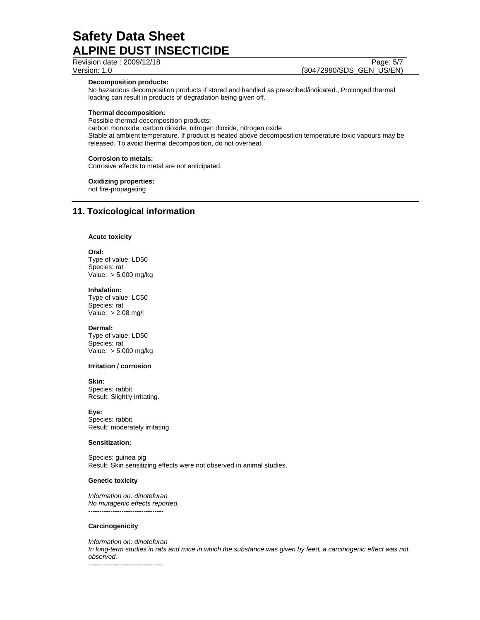Revision date : 2009/12/18 Page: 5/7

Version: 1.0 (30472990/SDS\_GEN\_US/EN)

**Decomposition products:** 

No hazardous decomposition products if stored and handled as prescribed/indicated., Prolonged thermal loading can result in products of degradation being given off.

### **Thermal decomposition:**

Possible thermal decomposition products:

carbon monoxide, carbon dioxide, nitrogen dioxide, nitrogen oxide Stable at ambient temperature. If product is heated above decomposition temperature toxic vapours may be released. To avoid thermal decomposition, do not overheat.

#### **Corrosion to metals:**

Corrosive effects to metal are not anticipated.

## **Oxidizing properties:**

not fire-propagating

# **11. Toxicological information**

### **Acute toxicity**

**Oral:** Type of value: LD50 Species: rat Value: > 5,000 mg/kg

#### **Inhalation:**

Type of value: LC50 Species: rat Value: > 2.08 mg/l

#### **Dermal:**

Type of value: LD50 Species: rat Value: > 5,000 mg/kg

## **Irritation / corrosion**

#### **Skin:**

Species: rabbit Result: Slightly irritating.

**Eye:** Species: rabbit Result: moderately irritating

#### **Sensitization:**

Species: guinea pig Result: Skin sensitizing effects were not observed in animal studies.

#### **Genetic toxicity**

*Information on: dinotefuran No mutagenic effects reported.*  ----------------------------------

#### **Carcinogenicity**

*Information on: dinotefuran In long-term studies in rats and mice in which the substance was given by feed, a carcinogenic effect was not observed.*  ----------------------------------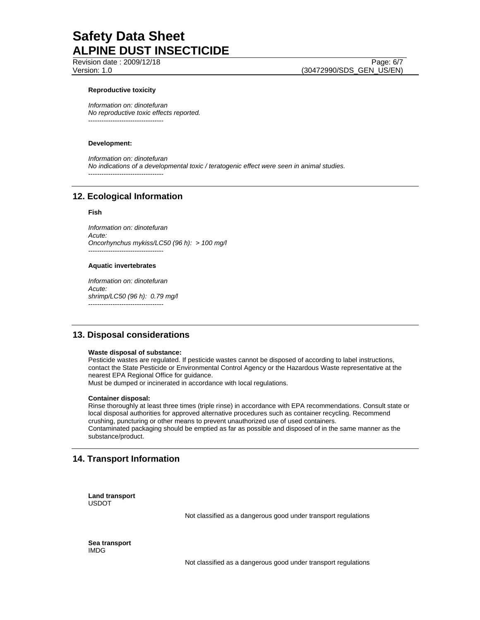Revision date : 2009/12/18 Page: 6/7

Version: 1.0 (30472990/SDS\_GEN\_US/EN)

## **Reproductive toxicity**

*Information on: dinotefuran No reproductive toxic effects reported.*  ----------------------------------

#### **Development:**

*Information on: dinotefuran No indications of a developmental toxic / teratogenic effect were seen in animal studies.*  ----------------------------------

# **12. Ecological Information**

#### **Fish**

*Information on: dinotefuran Acute: Oncorhynchus mykiss/LC50 (96 h): > 100 mg/l*  ----------------------------------

#### **Aquatic invertebrates**

*Information on: dinotefuran Acute: shrimp/LC50 (96 h): 0.79 mg/l*  ----------------------------------

# **13. Disposal considerations**

#### **Waste disposal of substance:**

Pesticide wastes are regulated. If pesticide wastes cannot be disposed of according to label instructions, contact the State Pesticide or Environmental Control Agency or the Hazardous Waste representative at the nearest EPA Regional Office for guidance.

Must be dumped or incinerated in accordance with local regulations.

#### **Container disposal:**

Rinse thoroughly at least three times (triple rinse) in accordance with EPA recommendations. Consult state or local disposal authorities for approved alternative procedures such as container recycling. Recommend crushing, puncturing or other means to prevent unauthorized use of used containers. Contaminated packaging should be emptied as far as possible and disposed of in the same manner as the substance/product.

# **14. Transport Information**

**Land transport**  USDOT

Not classified as a dangerous good under transport regulations

**Sea transport**  IMDG

Not classified as a dangerous good under transport regulations